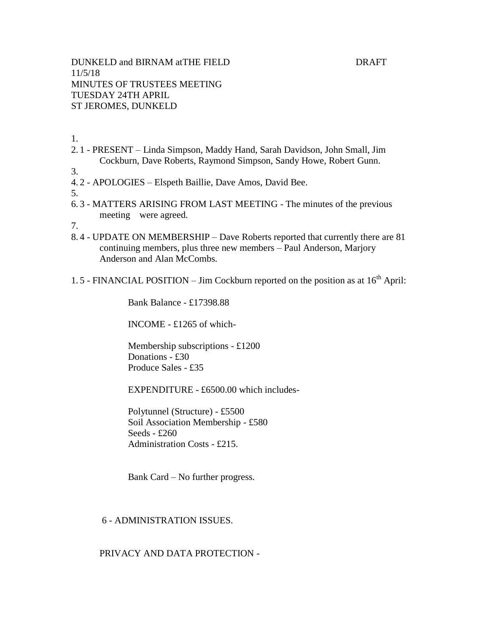DUNKELD and BIRNAM atTHE FIELD DRAFT 11/5/18 MINUTES OF TRUSTEES MEETING TUESDAY 24TH APRIL ST JEROMES, DUNKELD

1.

- 2. 1 PRESENT Linda Simpson, Maddy Hand, Sarah Davidson, John Small, Jim Cockburn, Dave Roberts, Raymond Simpson, Sandy Howe, Robert Gunn.
- 3.
- 4. 2 APOLOGIES Elspeth Baillie, Dave Amos, David Bee.

5.

6. 3 - MATTERS ARISING FROM LAST MEETING - The minutes of the previous meeting were agreed.

7.

- 8. 4 UPDATE ON MEMBERSHIP Dave Roberts reported that currently there are 81 continuing members, plus three new members – Paul Anderson, Marjory Anderson and Alan McCombs.
- 1.5 FINANCIAL POSITION Jim Cockburn reported on the position as at  $16<sup>th</sup>$  April:

Bank Balance - £17398.88

INCOME - £1265 of which-

Membership subscriptions - £1200 Donations - £30 Produce Sales - £35

EXPENDITURE - £6500.00 which includes-

Polytunnel (Structure) - £5500 Soil Association Membership - £580 Seeds - £260 Administration Costs - £215.

Bank Card – No further progress.

## 6 - ADMINISTRATION ISSUES.

# PRIVACY AND DATA PROTECTION -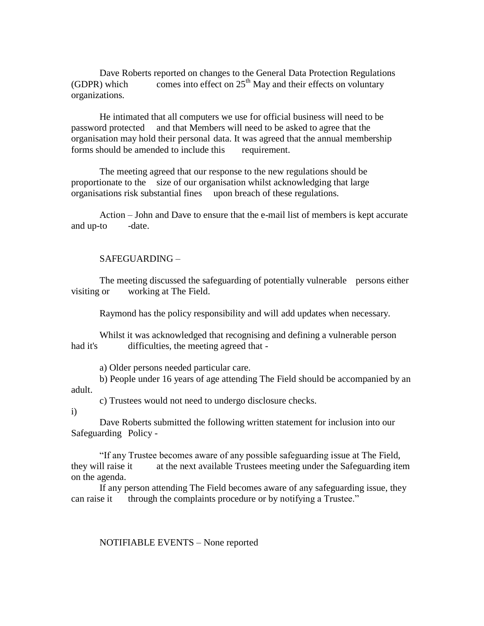Dave Roberts reported on changes to the General Data Protection Regulations (GDPR) which comes into effect on  $25<sup>th</sup>$  May and their effects on voluntary organizations.

He intimated that all computers we use for official business will need to be password protected and that Members will need to be asked to agree that the organisation may hold their personal data. It was agreed that the annual membership forms should be amended to include this requirement.

The meeting agreed that our response to the new regulations should be proportionate to the size of our organisation whilst acknowledging that large organisations risk substantial fines upon breach of these regulations.

Action – John and Dave to ensure that the e-mail list of members is kept accurate and up-to -date.

### SAFEGUARDING –

The meeting discussed the safeguarding of potentially vulnerable persons either visiting or working at The Field.

Raymond has the policy responsibility and will add updates when necessary.

Whilst it was acknowledged that recognising and defining a vulnerable person had it's difficulties, the meeting agreed that -

a) Older persons needed particular care.

b) People under 16 years of age attending The Field should be accompanied by an adult.

c) Trustees would not need to undergo disclosure checks.

i)

Dave Roberts submitted the following written statement for inclusion into our Safeguarding Policy -

"If any Trustee becomes aware of any possible safeguarding issue at The Field, they will raise it at the next available Trustees meeting under the Safeguarding item on the agenda.

If any person attending The Field becomes aware of any safeguarding issue, they can raise it through the complaints procedure or by notifying a Trustee."

NOTIFIABLE EVENTS – None reported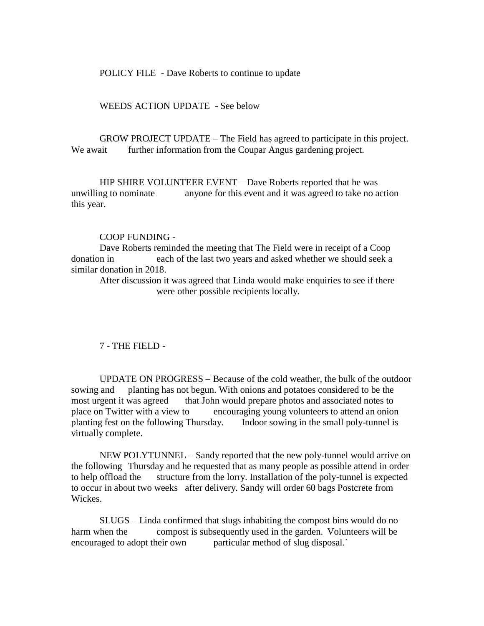POLICY FILE - Dave Roberts to continue to update

WEEDS ACTION UPDATE - See below

GROW PROJECT UPDATE – The Field has agreed to participate in this project. We await further information from the Coupar Angus gardening project.

HIP SHIRE VOLUNTEER EVENT – Dave Roberts reported that he was unwilling to nominate anyone for this event and it was agreed to take no action this year.

# COOP FUNDING -

Dave Roberts reminded the meeting that The Field were in receipt of a Coop donation in each of the last two years and asked whether we should seek a similar donation in 2018.

After discussion it was agreed that Linda would make enquiries to see if there were other possible recipients locally.

# 7 - THE FIELD -

UPDATE ON PROGRESS – Because of the cold weather, the bulk of the outdoor sowing and planting has not begun. With onions and potatoes considered to be the most urgent it was agreed that John would prepare photos and associated notes to place on Twitter with a view to encouraging young volunteers to attend an onion planting fest on the following Thursday. Indoor sowing in the small poly-tunnel is virtually complete.

NEW POLYTUNNEL – Sandy reported that the new poly-tunnel would arrive on the following Thursday and he requested that as many people as possible attend in order to help offload the structure from the lorry. Installation of the poly-tunnel is expected to occur in about two weeks after delivery. Sandy will order 60 bags Postcrete from Wickes.

SLUGS – Linda confirmed that slugs inhabiting the compost bins would do no harm when the compost is subsequently used in the garden. Volunteers will be encouraged to adopt their own particular method of slug disposal.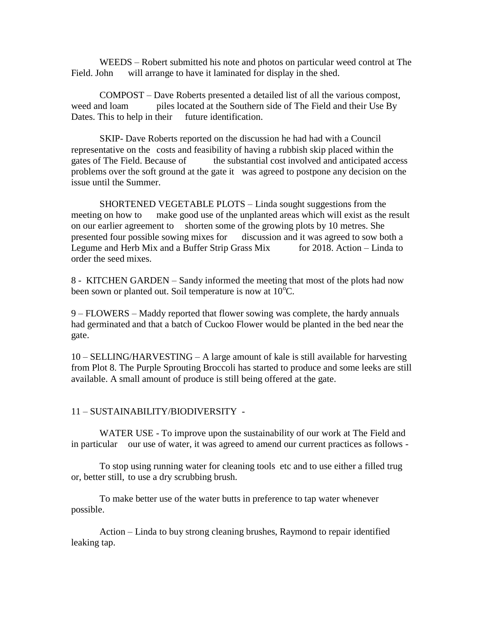WEEDS – Robert submitted his note and photos on particular weed control at The Field. John will arrange to have it laminated for display in the shed.

COMPOST – Dave Roberts presented a detailed list of all the various compost, weed and loam piles located at the Southern side of The Field and their Use By Dates. This to help in their future identification.

SKIP- Dave Roberts reported on the discussion he had had with a Council representative on the costs and feasibility of having a rubbish skip placed within the gates of The Field. Because of the substantial cost involved and anticipated access problems over the soft ground at the gate it was agreed to postpone any decision on the issue until the Summer.

SHORTENED VEGETABLE PLOTS – Linda sought suggestions from the meeting on how to make good use of the unplanted areas which will exist as the result on our earlier agreement to shorten some of the growing plots by 10 metres. She presented four possible sowing mixes for discussion and it was agreed to sow both a Legume and Herb Mix and a Buffer Strip Grass Mix for 2018. Action – Linda to order the seed mixes.

8 - KITCHEN GARDEN – Sandy informed the meeting that most of the plots had now been sown or planted out. Soil temperature is now at  $10^{\circ}$ C.

9 – FLOWERS – Maddy reported that flower sowing was complete, the hardy annuals had germinated and that a batch of Cuckoo Flower would be planted in the bed near the gate.

10 – SELLING/HARVESTING – A large amount of kale is still available for harvesting from Plot 8. The Purple Sprouting Broccoli has started to produce and some leeks are still available. A small amount of produce is still being offered at the gate.

## 11 – SUSTAINABILITY/BIODIVERSITY -

WATER USE - To improve upon the sustainability of our work at The Field and in particular our use of water, it was agreed to amend our current practices as follows -

To stop using running water for cleaning tools etc and to use either a filled trug or, better still, to use a dry scrubbing brush.

To make better use of the water butts in preference to tap water whenever possible.

Action – Linda to buy strong cleaning brushes, Raymond to repair identified leaking tap.